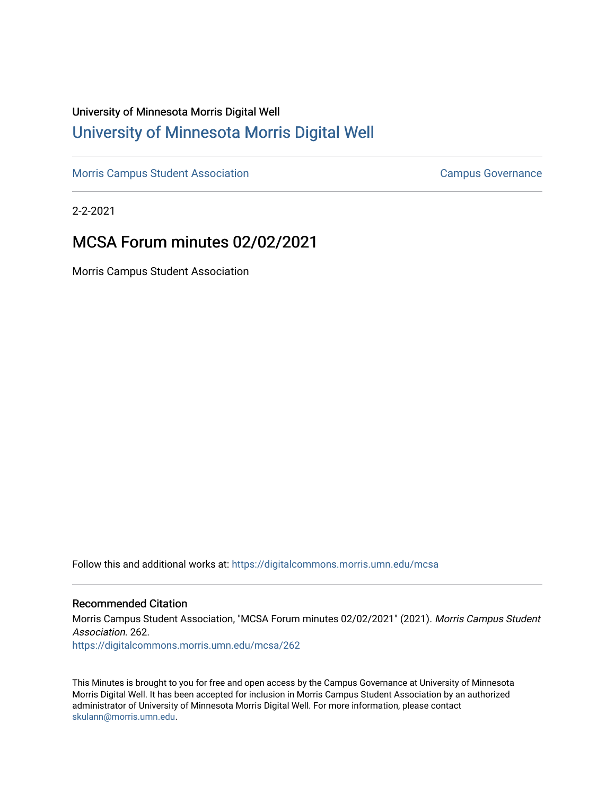# University of Minnesota Morris Digital Well [University of Minnesota Morris Digital Well](https://digitalcommons.morris.umn.edu/)

[Morris Campus Student Association](https://digitalcommons.morris.umn.edu/mcsa) **Campus Governance** Campus Governance

2-2-2021

# MCSA Forum minutes 02/02/2021

Morris Campus Student Association

Follow this and additional works at: [https://digitalcommons.morris.umn.edu/mcsa](https://digitalcommons.morris.umn.edu/mcsa?utm_source=digitalcommons.morris.umn.edu%2Fmcsa%2F262&utm_medium=PDF&utm_campaign=PDFCoverPages) 

#### Recommended Citation

Morris Campus Student Association, "MCSA Forum minutes 02/02/2021" (2021). Morris Campus Student Association. 262. [https://digitalcommons.morris.umn.edu/mcsa/262](https://digitalcommons.morris.umn.edu/mcsa/262?utm_source=digitalcommons.morris.umn.edu%2Fmcsa%2F262&utm_medium=PDF&utm_campaign=PDFCoverPages) 

This Minutes is brought to you for free and open access by the Campus Governance at University of Minnesota Morris Digital Well. It has been accepted for inclusion in Morris Campus Student Association by an authorized administrator of University of Minnesota Morris Digital Well. For more information, please contact [skulann@morris.umn.edu.](mailto:skulann@morris.umn.edu)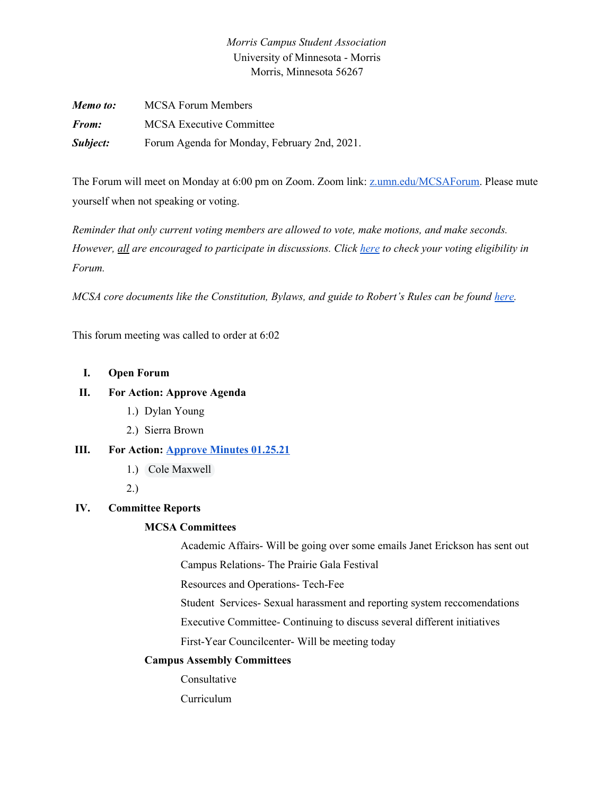## *Morris Campus Student Association* University of Minnesota - Morris Morris, Minnesota 56267

| Memo to:     | <b>MCSA Forum Members</b>                    |
|--------------|----------------------------------------------|
| <i>From:</i> | <b>MCSA Executive Committee</b>              |
| Subject:     | Forum Agenda for Monday, February 2nd, 2021. |

The Forum will meet on Monday at 6:00 pm on Zoom. Zoom link: [z.umn.edu/MCSAForum.](http://z.umn.edu/MCSAForum) Please mute yourself when not speaking or voting.

*Reminder that only current voting members are allowed to vote, make motions, and make seconds. However, all are encouraged to participate in discussions. Click [here](https://docs.google.com/spreadsheets/d/1-st7JfMMFnw4p4kBLKYW9B_Ye_wm5livGqMs3kvVPlA/edit?usp=sharing) to check your voting eligibility in Forum.*

*MCSA core documents like the Constitution, Bylaws, and guide to Robert's Rules can be found [here.](https://drive.google.com/drive/folders/1TIMThwj04feIUKbJOUHqFjpxSo5d_3_W?usp=sharing)*

This forum meeting was called to order at 6:02

#### **I. Open Forum**

### **II. For Action: Approve Agenda**

- 1.) Dylan Young
- 2.) Sierra Brown

### **III. For Action: [Approve](https://docs.google.com/document/d/1JM0-it0yI0M3vR8HaKKswPT6DLIY7oQd4toaOYVAtPk/edit?usp=sharing) Minutes 01.25.21**

1.) Cole Maxwell

2.)

## **IV. Committee Reports**

### **MCSA Committees**

Academic Affairs- Will be going over some emails Janet Erickson has sent out

Campus Relations- The Prairie Gala Festival

Resources and Operations- Tech-Fee

Student Services- Sexual harassment and reporting system reccomendations

Executive Committee- Continuing to discuss several different initiatives

First-Year Councilcenter- Will be meeting today

#### **Campus Assembly Committees**

Consultative

Curriculum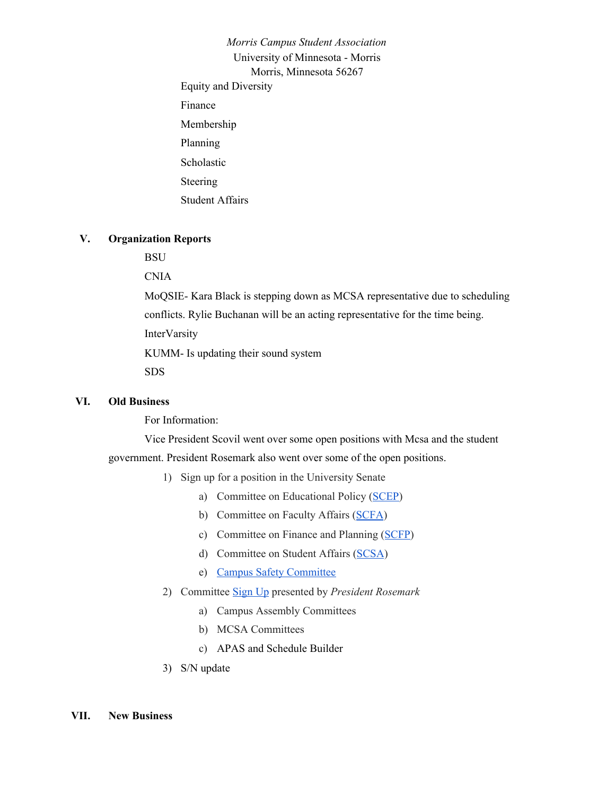*Morris Campus Student Association* University of Minnesota - Morris Morris, Minnesota 56267 Equity and Diversity Finance Membership Planning Scholastic Steering Student Affairs

#### **V. Organization Reports**

**BSU** 

CNIA

MoQSIE- Kara Black is stepping down as MCSA representative due to scheduling conflicts. Rylie Buchanan will be an acting representative for the time being. InterVarsity KUMM- Is updating their sound system

SDS

#### **VI. Old Business**

For Information:

Vice President Scovil went over some open positions with Mcsa and the student government. President Rosemark also went over some of the open positions.

- 1) Sign up for a position in the University Senate
	- a) Committee on Educational Policy [\(SCEP\)](https://usenate.umn.edu/committees/senate-committee-educational-policy-scep)
	- b) Committee on Faculty Affairs ([SCFA](https://usenate.umn.edu/committees/senate-committee-faculty-affairs-scfa))
	- c) Committee on Finance and Planning ([SCFP\)](https://usenate.umn.edu/committees/senate-committee-finance-and-planning-scfp)
	- d) Committee on Student Affairs ([SCSA](https://usenate.umn.edu/committees/senate-committee-student-affairs-scsa))
	- e) Campus Safety [Committee](https://drive.google.com/file/d/1q5PXnZGUH5w49TV_gVqF6aa7O0R5TDNC/view)
- 2) Committee [Sign](https://docs.google.com/spreadsheets/d/1-st7JfMMFnw4p4kBLKYW9B_Ye_wm5livGqMs3kvVPlA/edit#gid=920111271&range=4:4) Up presented by *President Rosemark*
	- a) Campus Assembly Committees
	- b) MCSA Committees
	- c) APAS and Schedule Builder
- 3) S/N update

#### **VII. New Business**